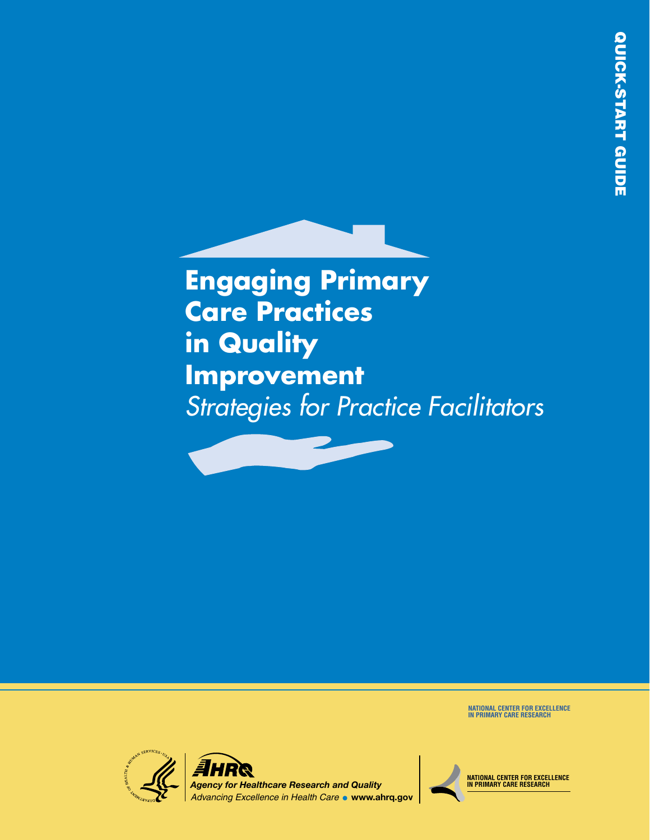**Engaging Primary Care Practices in Quality Improvement** *Strategies for Practice Facilitators*

**NATIONAL CENTER FOR EXCELLENCE IN PRIMARY CARE RESEARCH**



**NATIONAL CENTER FOR EXCELLENCE IN PRIMARY CARE RESEARCH**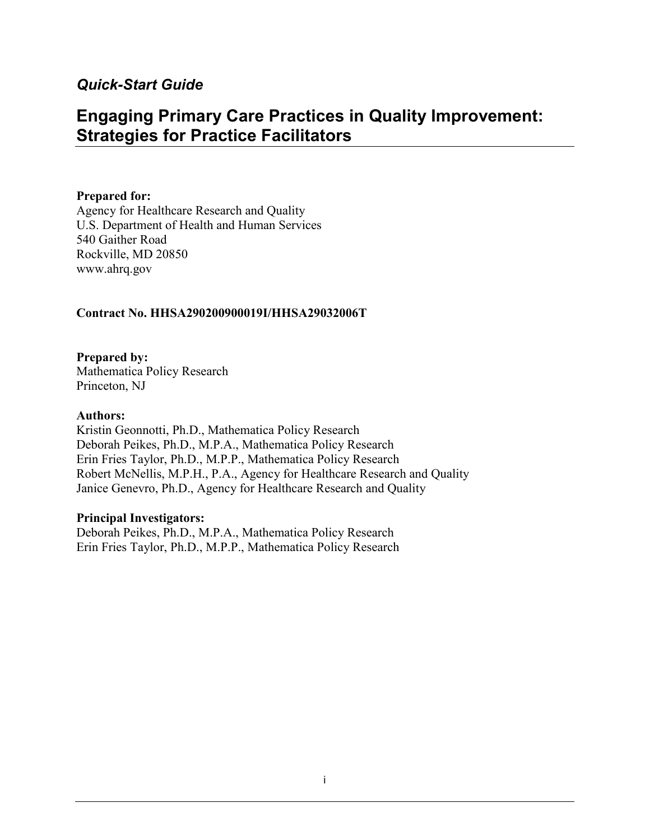## *Quick-Start Guide*

# **Engaging Primary Care Practices in Quality Improvement: Strategies for Practice Facilitators**

### **Prepared for:**

Agency for Healthcare Research and Quality U.S. Department of Health and Human Services 540 Gaither Road Rockville, MD 20850 www.ahrq.gov

#### **Contract No. HHSA290200900019I/HHSA29032006T**

**Prepared by:** Mathematica Policy Research Princeton, NJ

#### **Authors:**

Kristin Geonnotti, Ph.D., Mathematica Policy Research Deborah Peikes, Ph.D., M.P.A., Mathematica Policy Research Erin Fries Taylor, Ph.D., M.P.P., Mathematica Policy Research Robert McNellis, M.P.H., P.A., Agency for Healthcare Research and Quality Janice Genevro, Ph.D., Agency for Healthcare Research and Quality

#### **Principal Investigators:**

Deborah Peikes, Ph.D., M.P.A., Mathematica Policy Research Erin Fries Taylor, Ph.D., M.P.P., Mathematica Policy Research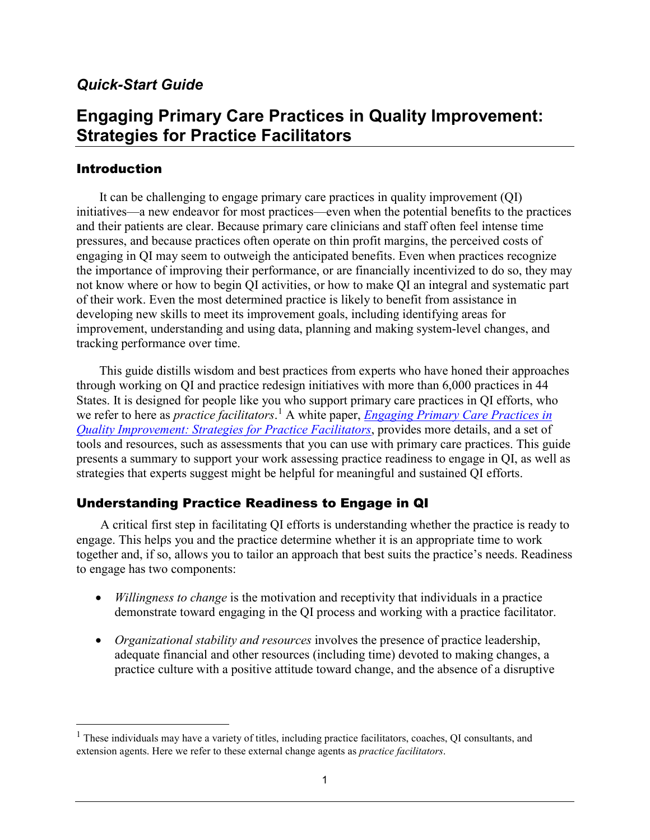# *Quick-Start Guide*

# **Engaging Primary Care Practices in Quality Improvement: Strategies for Practice Facilitators**

### Introduction

 $\overline{a}$ 

It can be challenging to engage primary care practices in quality improvement (QI) initiatives—a new endeavor for most practices—even when the potential benefits to the practices and their patients are clear. Because primary care clinicians and staff often feel intense time pressures, and because practices often operate on thin profit margins, the perceived costs of engaging in QI may seem to outweigh the anticipated benefits. Even when practices recognize the importance of improving their performance, or are financially incentivized to do so, they may not know where or how to begin QI activities, or how to make QI an integral and systematic part of their work. Even the most determined practice is likely to benefit from assistance in developing new skills to meet its improvement goals, including identifying areas for improvement, understanding and using data, planning and making system-level changes, and tracking performance over time.

This guide distills wisdom and best practices from experts who have honed their approaches through working on QI and practice redesign initiatives with more than 6,000 practices in 44 States. It is designed for people like you who support primary care practices in QI efforts, who we refer to here as *practice facilitators*.<sup>[1](#page-2-0)</sup> A white paper, *Engaging Primary Care Practices in [Quality Improvement: Strategies for Practice Facilitators](http://pcmh.ahrq.gov/page/quality-safety)*, provides more details, and a set of tools and resources, such as assessments that you can use with primary care practices. This guide presents a summary to support your work assessing practice readiness to engage in QI, as well as strategies that experts suggest might be helpful for meaningful and sustained QI efforts.

## Understanding Practice Readiness to Engage in QI

A critical first step in facilitating QI efforts is understanding whether the practice is ready to engage. This helps you and the practice determine whether it is an appropriate time to work together and, if so, allows you to tailor an approach that best suits the practice's needs. Readiness to engage has two components:

- *Willingness to change* is the motivation and receptivity that individuals in a practice demonstrate toward engaging in the QI process and working with a practice facilitator.
- *Organizational stability and resources* involves the presence of practice leadership, adequate financial and other resources (including time) devoted to making changes, a practice culture with a positive attitude toward change, and the absence of a disruptive

<span id="page-2-0"></span><sup>&</sup>lt;sup>1</sup> These individuals may have a variety of titles, including practice facilitators, coaches, QI consultants, and extension agents. Here we refer to these external change agents as *practice facilitators*.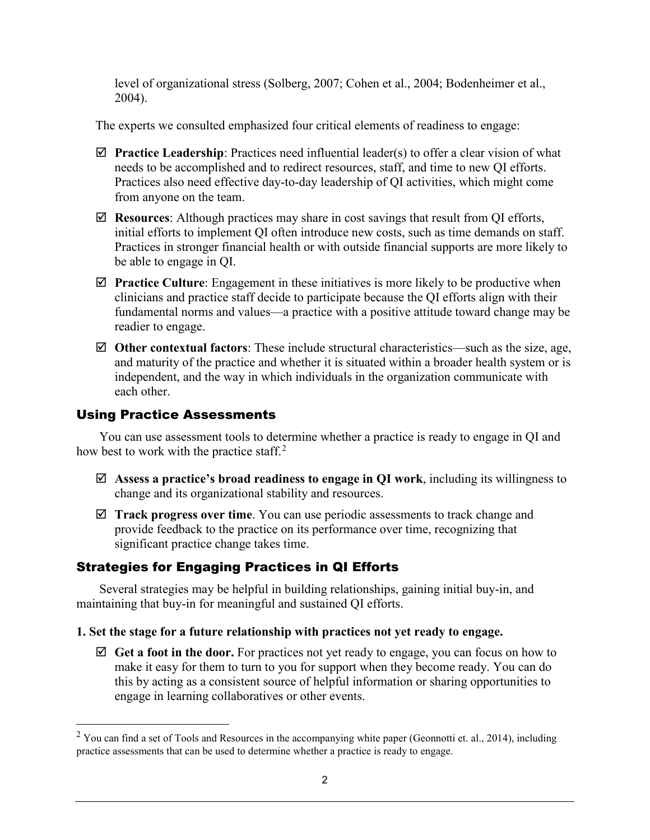level of organizational stress (Solberg, 2007; Cohen et al., 2004; Bodenheimer et al., 2004).

The experts we consulted emphasized four critical elements of readiness to engage:

- **Practice Leadership**: Practices need influential leader(s) to offer a clear vision of what needs to be accomplished and to redirect resources, staff, and time to new QI efforts. Practices also need effective day-to-day leadership of QI activities, which might come from anyone on the team.
- **Resources**: Although practices may share in cost savings that result from QI efforts, initial efforts to implement QI often introduce new costs, such as time demands on staff. Practices in stronger financial health or with outside financial supports are more likely to be able to engage in QI.
- **Practice Culture**: Engagement in these initiatives is more likely to be productive when clinicians and practice staff decide to participate because the QI efforts align with their fundamental norms and values—a practice with a positive attitude toward change may be readier to engage.
- **Other contextual factors**: These include structural characteristics—such as the size, age, and maturity of the practice and whether it is situated within a broader health system or is independent, and the way in which individuals in the organization communicate with each other.

### Using Practice Assessments

 $\overline{a}$ 

You can use assessment tools to determine whether a practice is ready to engage in QI and how best to work with the practice staff.<sup>[2](#page-3-0)</sup>

- **Assess a practice's broad readiness to engage in QI work**, including its willingness to change and its organizational stability and resources.
- **Track progress over time**. You can use periodic assessments to track change and provide feedback to the practice on its performance over time, recognizing that significant practice change takes time.

# Strategies for Engaging Practices in QI Efforts

Several strategies may be helpful in building relationships, gaining initial buy-in, and maintaining that buy-in for meaningful and sustained QI efforts.

### **1. Set the stage for a future relationship with practices not yet ready to engage.**

 $\boxtimes$  **Get a foot in the door.** For practices not yet ready to engage, you can focus on how to make it easy for them to turn to you for support when they become ready. You can do this by acting as a consistent source of helpful information or sharing opportunities to engage in learning collaboratives or other events.

<span id="page-3-0"></span> $2$  You can find a set of Tools and Resources in the accompanying white paper (Geonnotti et. al., 2014), including practice assessments that can be used to determine whether a practice is ready to engage.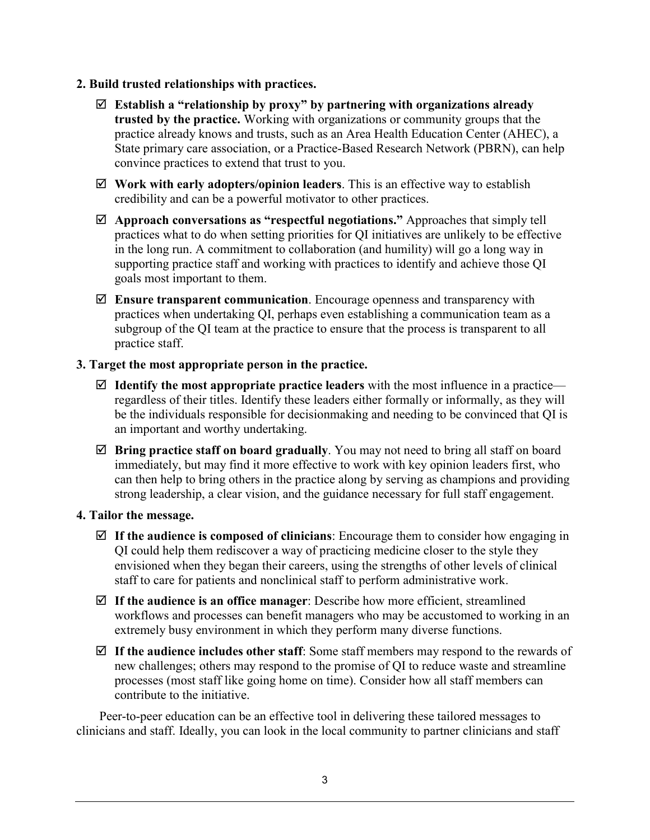### **2. Build trusted relationships with practices.**

- **Establish a "relationship by proxy" by partnering with organizations already trusted by the practice.** Working with organizations or community groups that the practice already knows and trusts, such as an Area Health Education Center (AHEC), a State primary care association, or a Practice-Based Research Network (PBRN), can help convince practices to extend that trust to you.
- **Work with early adopters/opinion leaders**. This is an effective way to establish credibility and can be a powerful motivator to other practices.
- **Approach conversations as "respectful negotiations."** Approaches that simply tell practices what to do when setting priorities for QI initiatives are unlikely to be effective in the long run. A commitment to collaboration (and humility) will go a long way in supporting practice staff and working with practices to identify and achieve those QI goals most important to them.
- **Ensure transparent communication**. Encourage openness and transparency with practices when undertaking QI, perhaps even establishing a communication team as a subgroup of the QI team at the practice to ensure that the process is transparent to all practice staff.

### **3. Target the most appropriate person in the practice.**

- $\boxtimes$  **Identify the most appropriate practice leaders** with the most influence in a practice regardless of their titles. Identify these leaders either formally or informally, as they will be the individuals responsible for decisionmaking and needing to be convinced that QI is an important and worthy undertaking.
- **Bring practice staff on board gradually**. You may not need to bring all staff on board immediately, but may find it more effective to work with key opinion leaders first, who can then help to bring others in the practice along by serving as champions and providing strong leadership, a clear vision, and the guidance necessary for full staff engagement.

### **4. Tailor the message.**

- **If the audience is composed of clinicians**: Encourage them to consider how engaging in QI could help them rediscover a way of practicing medicine closer to the style they envisioned when they began their careers, using the strengths of other levels of clinical staff to care for patients and nonclinical staff to perform administrative work.
- **If the audience is an office manager**: Describe how more efficient, streamlined workflows and processes can benefit managers who may be accustomed to working in an extremely busy environment in which they perform many diverse functions.
- $\mathbb Z$  If the audience includes other staff: Some staff members may respond to the rewards of new challenges; others may respond to the promise of QI to reduce waste and streamline processes (most staff like going home on time). Consider how all staff members can contribute to the initiative.

Peer-to-peer education can be an effective tool in delivering these tailored messages to clinicians and staff. Ideally, you can look in the local community to partner clinicians and staff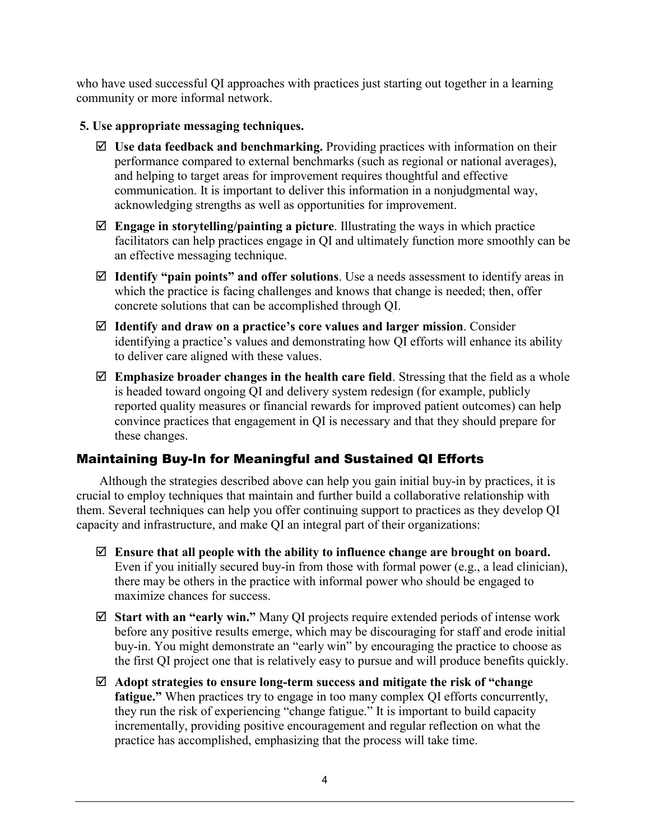who have used successful QI approaches with practices just starting out together in a learning community or more informal network.

### **5. Use appropriate messaging techniques.**

- $\boxtimes$  Use data feedback and benchmarking. Providing practices with information on their performance compared to external benchmarks (such as regional or national averages), and helping to target areas for improvement requires thoughtful and effective communication. It is important to deliver this information in a nonjudgmental way, acknowledging strengths as well as opportunities for improvement.
- **Engage in storytelling/painting a picture**. Illustrating the ways in which practice facilitators can help practices engage in QI and ultimately function more smoothly can be an effective messaging technique.
- **Identify "pain points" and offer solutions**. Use a needs assessment to identify areas in which the practice is facing challenges and knows that change is needed; then, offer concrete solutions that can be accomplished through QI.
- **Identify and draw on a practice's core values and larger mission**. Consider identifying a practice's values and demonstrating how QI efforts will enhance its ability to deliver care aligned with these values.
- **Emphasize broader changes in the health care field**. Stressing that the field as a whole is headed toward ongoing QI and delivery system redesign (for example, publicly reported quality measures or financial rewards for improved patient outcomes) can help convince practices that engagement in QI is necessary and that they should prepare for these changes.

### Maintaining Buy-In for Meaningful and Sustained QI Efforts

Although the strategies described above can help you gain initial buy-in by practices, it is crucial to employ techniques that maintain and further build a collaborative relationship with them. Several techniques can help you offer continuing support to practices as they develop QI capacity and infrastructure, and make QI an integral part of their organizations:

- **Ensure that all people with the ability to influence change are brought on board.** Even if you initially secured buy-in from those with formal power (e.g., a lead clinician), there may be others in the practice with informal power who should be engaged to maximize chances for success.
- **Start with an "early win."** Many QI projects require extended periods of intense work before any positive results emerge, which may be discouraging for staff and erode initial buy-in. You might demonstrate an "early win" by encouraging the practice to choose as the first QI project one that is relatively easy to pursue and will produce benefits quickly.
- **Adopt strategies to ensure long-term success and mitigate the risk of "change fatigue."** When practices try to engage in too many complex QI efforts concurrently, they run the risk of experiencing "change fatigue." It is important to build capacity incrementally, providing positive encouragement and regular reflection on what the practice has accomplished, emphasizing that the process will take time.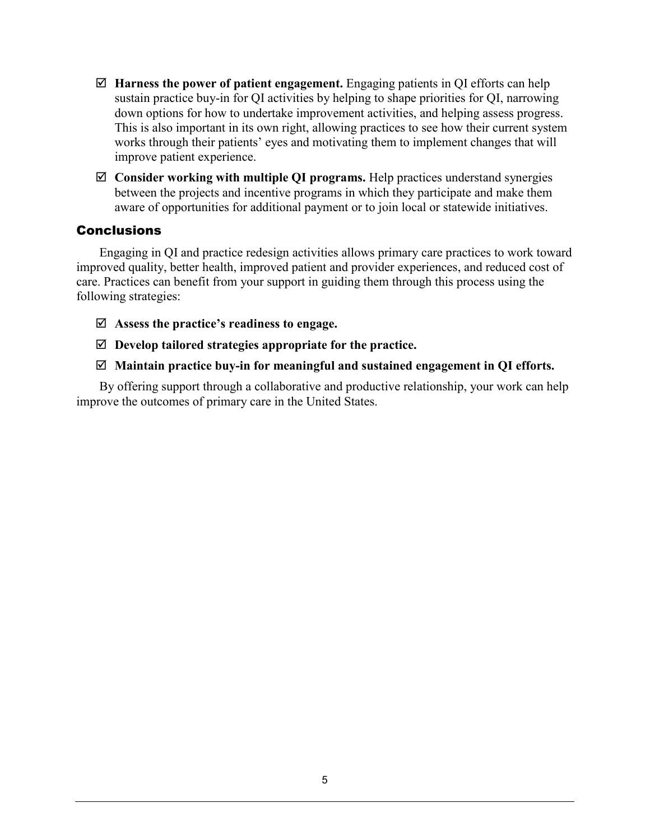- **Harness the power of patient engagement.** Engaging patients in QI efforts can help sustain practice buy-in for QI activities by helping to shape priorities for QI, narrowing down options for how to undertake improvement activities, and helping assess progress. This is also important in its own right, allowing practices to see how their current system works through their patients' eyes and motivating them to implement changes that will improve patient experience.
- **Consider working with multiple QI programs.** Help practices understand synergies between the projects and incentive programs in which they participate and make them aware of opportunities for additional payment or to join local or statewide initiatives.

### **Conclusions**

Engaging in QI and practice redesign activities allows primary care practices to work toward improved quality, better health, improved patient and provider experiences, and reduced cost of care. Practices can benefit from your support in guiding them through this process using the following strategies:

- **Assess the practice's readiness to engage.**
- **Develop tailored strategies appropriate for the practice.**

### **Maintain practice buy-in for meaningful and sustained engagement in QI efforts.**

 By offering support through a collaborative and productive relationship, your work can help improve the outcomes of primary care in the United States.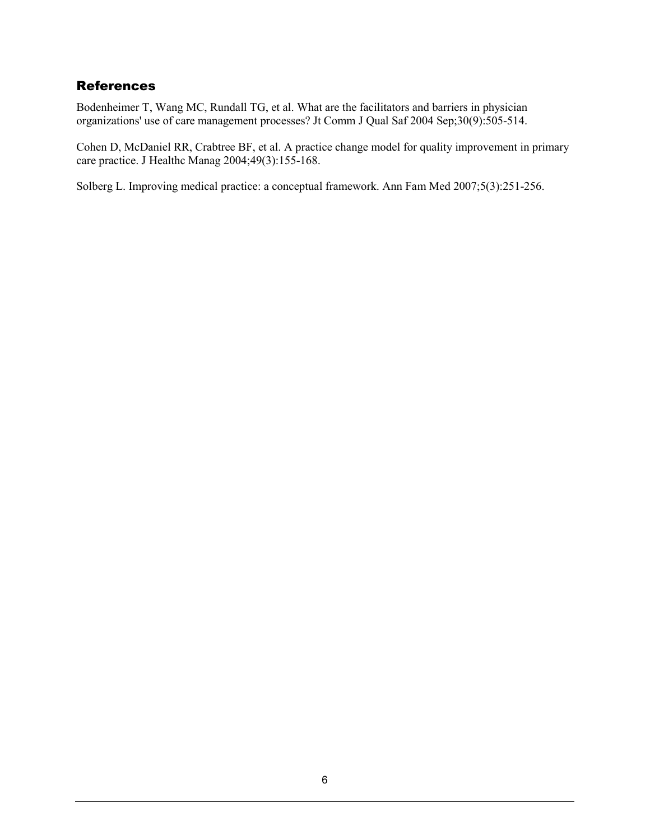### **References**

Bodenheimer T, Wang MC, Rundall TG, et al. What are the facilitators and barriers in physician organizations' use of care management processes? Jt Comm J Qual Saf 2004 Sep;30(9):505-514.

Cohen D, McDaniel RR, Crabtree BF, et al. A practice change model for quality improvement in primary care practice. J Healthc Manag 2004;49(3):155-168.

Solberg L. Improving medical practice: a conceptual framework. Ann Fam Med 2007;5(3):251-256.